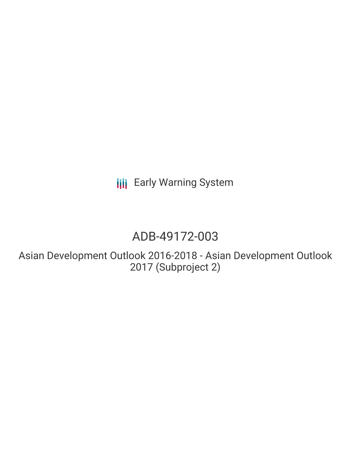**III** Early Warning System

# ADB-49172-003

Asian Development Outlook 2016-2018 - Asian Development Outlook 2017 (Subproject 2)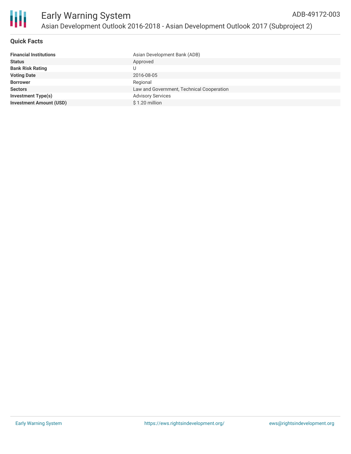

# **Quick Facts**

| Asian Development Bank (ADB)              |
|-------------------------------------------|
| Approved                                  |
| U                                         |
| 2016-08-05                                |
| Regional                                  |
| Law and Government, Technical Cooperation |
| <b>Advisory Services</b>                  |
| $$1.20$ million                           |
|                                           |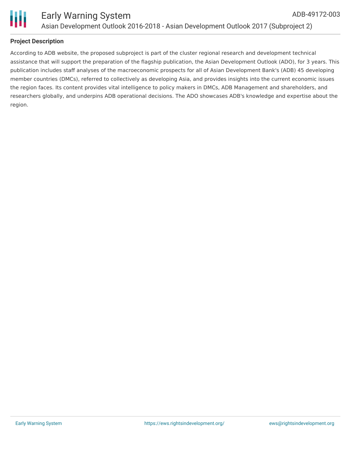

# **Project Description**

According to ADB website, the proposed subproject is part of the cluster regional research and development technical assistance that will support the preparation of the flagship publication, the Asian Development Outlook (ADO), for 3 years. This publication includes staff analyses of the macroeconomic prospects for all of Asian Development Bank's (ADB) 45 developing member countries (DMCs), referred to collectively as developing Asia, and provides insights into the current economic issues the region faces. Its content provides vital intelligence to policy makers in DMCs, ADB Management and shareholders, and researchers globally, and underpins ADB operational decisions. The ADO showcases ADB's knowledge and expertise about the region.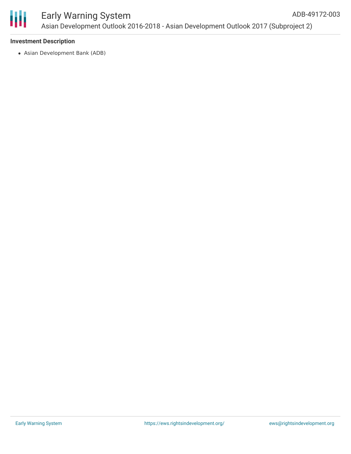

# **Investment Description**

Asian Development Bank (ADB)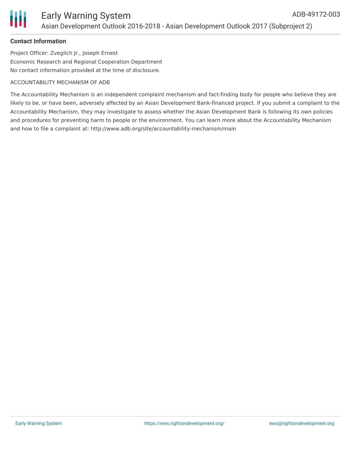

# **Contact Information**

Project Officer: Zveglich Jr., Joseph Ernest Economic Research and Regional Cooperation Department No contact information provided at the time of disclosure.

#### ACCOUNTABILITY MECHANISM OF ADB

The Accountability Mechanism is an independent complaint mechanism and fact-finding body for people who believe they are likely to be, or have been, adversely affected by an Asian Development Bank-financed project. If you submit a complaint to the Accountability Mechanism, they may investigate to assess whether the Asian Development Bank is following its own policies and procedures for preventing harm to people or the environment. You can learn more about the Accountability Mechanism and how to file a complaint at: http://www.adb.org/site/accountability-mechanism/main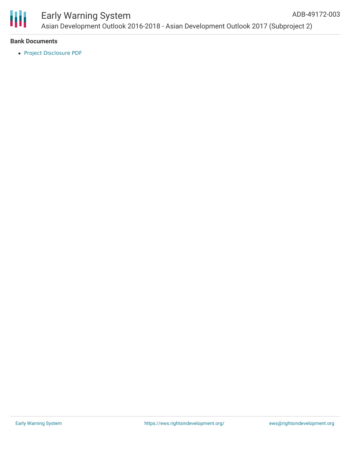

## Early Warning System Asian Development Outlook 2016-2018 - Asian Development Outlook 2017 (Subproject 2) ADB-49172-003

# **Bank Documents**

Project [Disclosure](https://www.adb.org/printpdf/projects/49172-003/main) PDF